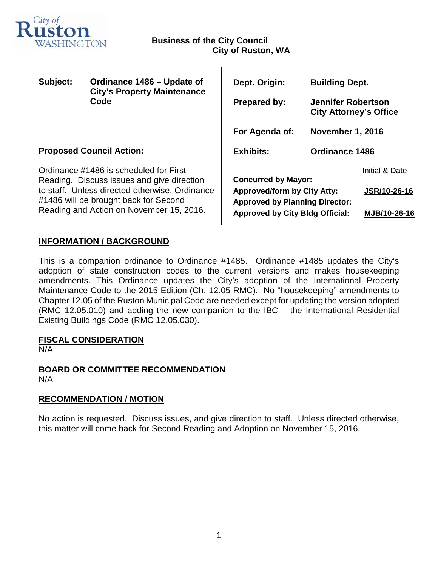

т

| Subject:                                                                                                                                                                                                                    | Ordinance 1486 - Update of<br><b>City's Property Maintenance</b><br>Code | Dept. Origin:                                                                                                                                       | <b>Building Dept.</b>                                      |                |
|-----------------------------------------------------------------------------------------------------------------------------------------------------------------------------------------------------------------------------|--------------------------------------------------------------------------|-----------------------------------------------------------------------------------------------------------------------------------------------------|------------------------------------------------------------|----------------|
|                                                                                                                                                                                                                             |                                                                          | <b>Prepared by:</b>                                                                                                                                 | <b>Jennifer Robertson</b><br><b>City Attorney's Office</b> |                |
|                                                                                                                                                                                                                             |                                                                          | For Agenda of:                                                                                                                                      | <b>November 1, 2016</b>                                    |                |
| <b>Proposed Council Action:</b>                                                                                                                                                                                             |                                                                          | <b>Exhibits:</b>                                                                                                                                    | <b>Ordinance 1486</b>                                      |                |
| Ordinance #1486 is scheduled for First<br>Reading. Discuss issues and give direction<br>to staff. Unless directed otherwise, Ordinance<br>#1486 will be brought back for Second<br>Reading and Action on November 15, 2016. |                                                                          | <b>Concurred by Mayor:</b><br><b>Approved/form by City Atty:</b><br><b>Approved by Planning Director:</b><br><b>Approved by City Bldg Official:</b> |                                                            | Initial & Date |
|                                                                                                                                                                                                                             |                                                                          |                                                                                                                                                     |                                                            | JSR/10-26-16   |
|                                                                                                                                                                                                                             |                                                                          |                                                                                                                                                     |                                                            | MJB/10-26-16   |

# **INFORMATION / BACKGROUND**

This is a companion ordinance to Ordinance #1485. Ordinance #1485 updates the City's adoption of state construction codes to the current versions and makes housekeeping amendments. This Ordinance updates the City's adoption of the International Property Maintenance Code to the 2015 Edition (Ch. 12.05 RMC). No "housekeeping" amendments to Chapter 12.05 of the Ruston Municipal Code are needed except for updating the version adopted (RMC 12.05.010) and adding the new companion to the IBC – the International Residential Existing Buildings Code (RMC 12.05.030).

## **FISCAL CONSIDERATION**

N/A

## **BOARD OR COMMITTEE RECOMMENDATION** N/A

## **RECOMMENDATION / MOTION**

No action is requested. Discuss issues, and give direction to staff. Unless directed otherwise, this matter will come back for Second Reading and Adoption on November 15, 2016.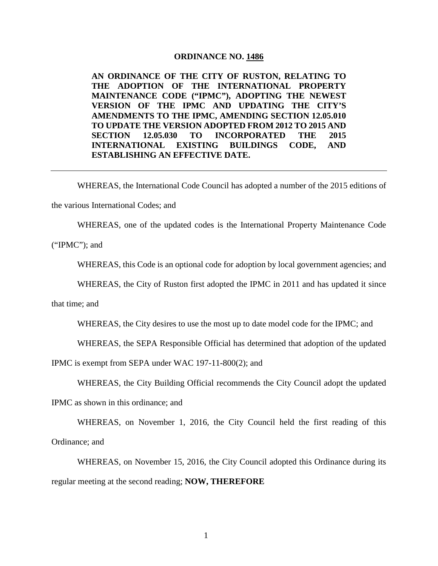#### **ORDINANCE NO. 1486**

**AN ORDINANCE OF THE CITY OF RUSTON, RELATING TO THE ADOPTION OF THE INTERNATIONAL PROPERTY MAINTENANCE CODE ("IPMC"), ADOPTING THE NEWEST VERSION OF THE IPMC AND UPDATING THE CITY'S AMENDMENTS TO THE IPMC, AMENDING SECTION 12.05.010 TO UPDATE THE VERSION ADOPTED FROM 2012 TO 2015 AND SECTION 12.05.030 TO INCORPORATED THE 2015 INTERNATIONAL EXISTING BUILDINGS CODE, AND ESTABLISHING AN EFFECTIVE DATE.**

WHEREAS, the International Code Council has adopted a number of the 2015 editions of the various International Codes; and

WHEREAS, one of the updated codes is the International Property Maintenance Code

("IPMC"); and

WHEREAS, this Code is an optional code for adoption by local government agencies; and

WHEREAS, the City of Ruston first adopted the IPMC in 2011 and has updated it since

that time; and

WHEREAS, the City desires to use the most up to date model code for the IPMC; and

WHEREAS, the SEPA Responsible Official has determined that adoption of the updated

IPMC is exempt from SEPA under WAC 197-11-800(2); and

WHEREAS, the City Building Official recommends the City Council adopt the updated

IPMC as shown in this ordinance; and

WHEREAS, on November 1, 2016, the City Council held the first reading of this Ordinance; and

WHEREAS, on November 15, 2016, the City Council adopted this Ordinance during its regular meeting at the second reading; **NOW, THEREFORE**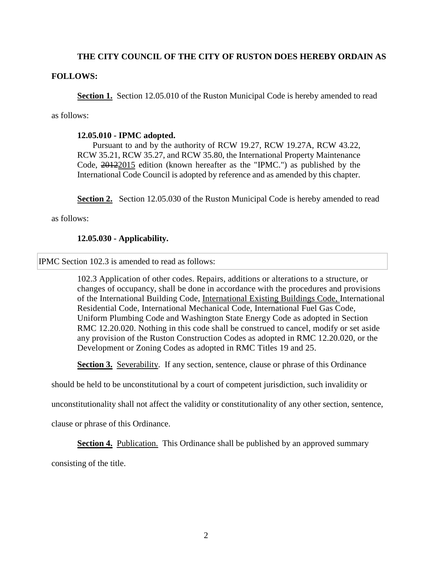## **THE CITY COUNCIL OF THE CITY OF RUSTON DOES HEREBY ORDAIN AS**

### **FOLLOWS:**

**Section 1.** Section 12.05.010 of the Ruston Municipal Code is hereby amended to read

as follows:

### **12.05.010 - IPMC adopted.**

Pursuant to and by the authority of RCW 19.27, RCW 19.27A, RCW 43.22, RCW 35.21, RCW 35.27, and RCW 35.80, the International Property Maintenance Code, 20122015 edition (known hereafter as the "IPMC.") as published by the International Code Council is adopted by reference and as amended by this chapter.

**Section 2.** Section 12.05.030 of the Ruston Municipal Code is hereby amended to read

as follows:

### **12.05.030 - Applicability.**

IPMC Section 102.3 is amended to read as follows:

102.3 Application of other codes. Repairs, additions or alterations to a structure, or changes of occupancy, shall be done in accordance with the procedures and provisions of the International Building Code, International Existing Buildings Code, International Residential Code, International Mechanical Code, International Fuel Gas Code, Uniform Plumbing Code and Washington State Energy Code as adopted in Section RMC 12.20.020. Nothing in this code shall be construed to cancel, modify or set aside any provision of the Ruston Construction Codes as adopted in RMC [12.20.020,](https://www.municode.com/library/wa/ruston/codes/code_of_ordinances?nodeId=TIT12BUCO_CH12.20COCO_12.20.020THRUCOCO) or the Development or Zoning Codes as adopted in RMC Titles [19](https://www.municode.com/library/wa/ruston/codes/code_of_ordinances?nodeId=TIT19ADDERE) and 25.

**Section 3.** Severability. If any section, sentence, clause or phrase of this Ordinance

should be held to be unconstitutional by a court of competent jurisdiction, such invalidity or

unconstitutionality shall not affect the validity or constitutionality of any other section, sentence,

clause or phrase of this Ordinance.

**Section 4.** Publication. This Ordinance shall be published by an approved summary

consisting of the title.